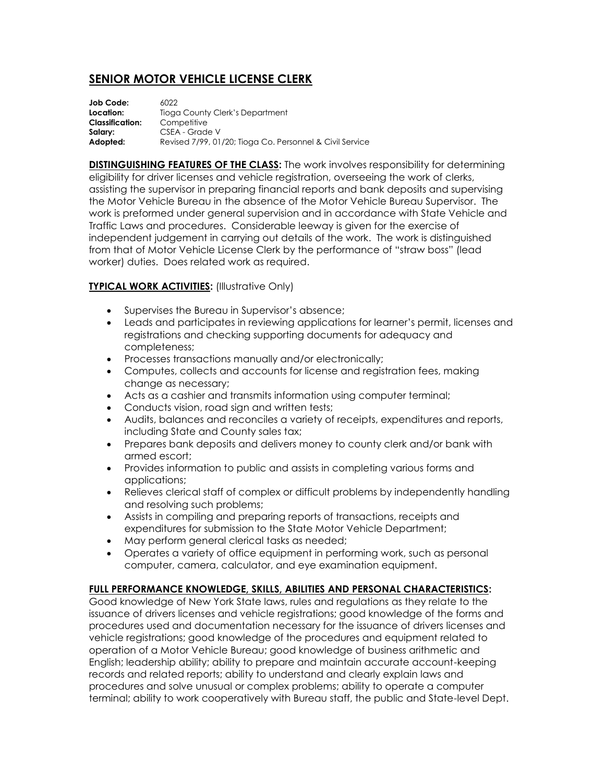# **SENIOR MOTOR VEHICLE LICENSE CLERK**

| Job Code:              | 6022                                                     |
|------------------------|----------------------------------------------------------|
| Location:              | Tioga County Clerk's Department                          |
| <b>Classification:</b> | Competitive                                              |
| Salary:                | CSEA - Grade V                                           |
| Adopted:               | Revised 7/99, 01/20; Tioga Co. Personnel & Civil Service |

**DISTINGUISHING FEATURES OF THE CLASS:** The work involves responsibility for determining eligibility for driver licenses and vehicle registration, overseeing the work of clerks, assisting the supervisor in preparing financial reports and bank deposits and supervising the Motor Vehicle Bureau in the absence of the Motor Vehicle Bureau Supervisor. The work is preformed under general supervision and in accordance with State Vehicle and Traffic Laws and procedures. Considerable leeway is given for the exercise of independent judgement in carrying out details of the work. The work is distinguished from that of Motor Vehicle License Clerk by the performance of "straw boss" (lead worker) duties. Does related work as required.

## **TYPICAL WORK ACTIVITIES:** (Illustrative Only)

- Supervises the Bureau in Supervisor's absence;
- Leads and participates in reviewing applications for learner's permit, licenses and registrations and checking supporting documents for adequacy and completeness;
- Processes transactions manually and/or electronically;
- Computes, collects and accounts for license and registration fees, making change as necessary;
- Acts as a cashier and transmits information using computer terminal;
- Conducts vision, road sign and written tests;
- Audits, balances and reconciles a variety of receipts, expenditures and reports, including State and County sales tax;
- Prepares bank deposits and delivers money to county clerk and/or bank with armed escort;
- Provides information to public and assists in completing various forms and applications;
- Relieves clerical staff of complex or difficult problems by independently handling and resolving such problems;
- Assists in compiling and preparing reports of transactions, receipts and expenditures for submission to the State Motor Vehicle Department;
- May perform general clerical tasks as needed;
- Operates a variety of office equipment in performing work, such as personal computer, camera, calculator, and eye examination equipment.

# **FULL PERFORMANCE KNOWLEDGE, SKILLS, ABILITIES AND PERSONAL CHARACTERISTICS:**

Good knowledge of New York State laws, rules and regulations as they relate to the issuance of drivers licenses and vehicle registrations; good knowledge of the forms and procedures used and documentation necessary for the issuance of drivers licenses and vehicle registrations; good knowledge of the procedures and equipment related to operation of a Motor Vehicle Bureau; good knowledge of business arithmetic and English; leadership ability; ability to prepare and maintain accurate account-keeping records and related reports; ability to understand and clearly explain laws and procedures and solve unusual or complex problems; ability to operate a computer terminal; ability to work cooperatively with Bureau staff, the public and State-level Dept.